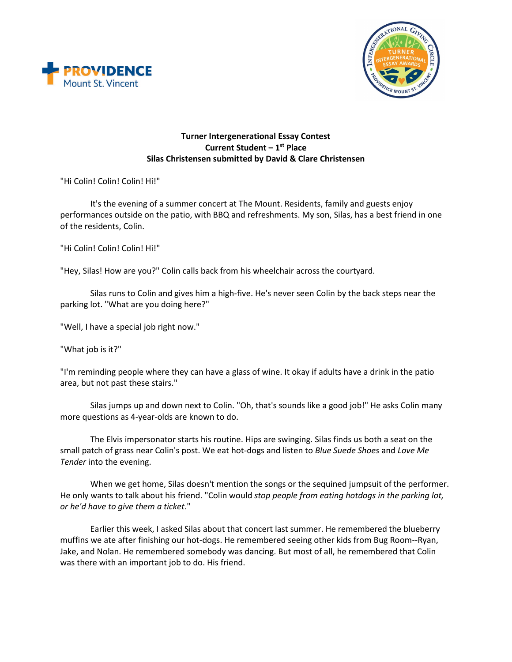



## **Turner Intergenerational Essay Contest Current Student – 1st Place Silas Christensen submitted by David & Clare Christensen**

"Hi Colin! Colin! Colin! Hi!"

It's the evening of a summer concert at The Mount. Residents, family and guests enjoy performances outside on the patio, with BBQ and refreshments. My son, Silas, has a best friend in one of the residents, Colin.

"Hi Colin! Colin! Colin! Hi!"

"Hey, Silas! How are you?" Colin calls back from his wheelchair across the courtyard.

Silas runs to Colin and gives him a high-five. He's never seen Colin by the back steps near the parking lot. "What are you doing here?"

"Well, I have a special job right now."

"What job is it?"

"I'm reminding people where they can have a glass of wine. It okay if adults have a drink in the patio area, but not past these stairs."

Silas jumps up and down next to Colin. "Oh, that's sounds like a good job!" He asks Colin many more questions as 4-year-olds are known to do.

The Elvis impersonator starts his routine. Hips are swinging. Silas finds us both a seat on the small patch of grass near Colin's post. We eat hot-dogs and listen to *Blue Suede Shoes* and *Love Me Tender* into the evening.

When we get home, Silas doesn't mention the songs or the sequined jumpsuit of the performer. He only wants to talk about his friend. "Colin would *stop people from eating hotdogs in the parking lot, or he'd have to give them a ticket*."

Earlier this week, I asked Silas about that concert last summer. He remembered the blueberry muffins we ate after finishing our hot-dogs. He remembered seeing other kids from Bug Room--Ryan, Jake, and Nolan. He remembered somebody was dancing. But most of all, he remembered that Colin was there with an important job to do. His friend.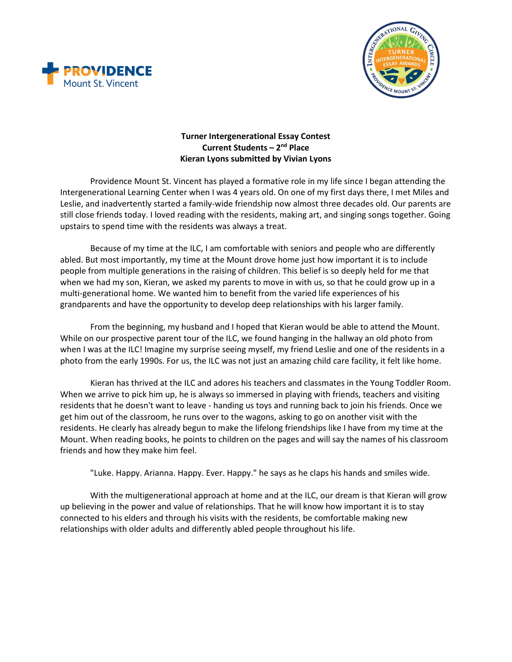



## **Turner Intergenerational Essay Contest Current Students – 2nd Place Kieran Lyons submitted by Vivian Lyons**

Providence Mount St. Vincent has played a formative role in my life since I began attending the Intergenerational Learning Center when I was 4 years old. On one of my first days there, I met Miles and Leslie, and inadvertently started a family-wide friendship now almost three decades old. Our parents are still close friends today. I loved reading with the residents, making art, and singing songs together. Going upstairs to spend time with the residents was always a treat.

Because of my time at the ILC, I am comfortable with seniors and people who are differently abled. But most importantly, my time at the Mount drove home just how important it is to include people from multiple generations in the raising of children. This belief is so deeply held for me that when we had my son, Kieran, we asked my parents to move in with us, so that he could grow up in a multi-generational home. We wanted him to benefit from the varied life experiences of his grandparents and have the opportunity to develop deep relationships with his larger family.

From the beginning, my husband and I hoped that Kieran would be able to attend the Mount. While on our prospective parent tour of the ILC, we found hanging in the hallway an old photo from when I was at the ILC! Imagine my surprise seeing myself, my friend Leslie and one of the residents in a photo from the early 1990s. For us, the ILC was not just an amazing child care facility, it felt like home.

Kieran has thrived at the ILC and adores his teachers and classmates in the Young Toddler Room. When we arrive to pick him up, he is always so immersed in playing with friends, teachers and visiting residents that he doesn't want to leave - handing us toys and running back to join his friends. Once we get him out of the classroom, he runs over to the wagons, asking to go on another visit with the residents. He clearly has already begun to make the lifelong friendships like I have from my time at the Mount. When reading books, he points to children on the pages and will say the names of his classroom friends and how they make him feel.

"Luke. Happy. Arianna. Happy. Ever. Happy." he says as he claps his hands and smiles wide.

With the multigenerational approach at home and at the ILC, our dream is that Kieran will grow up believing in the power and value of relationships. That he will know how important it is to stay connected to his elders and through his visits with the residents, be comfortable making new relationships with older adults and differently abled people throughout his life.